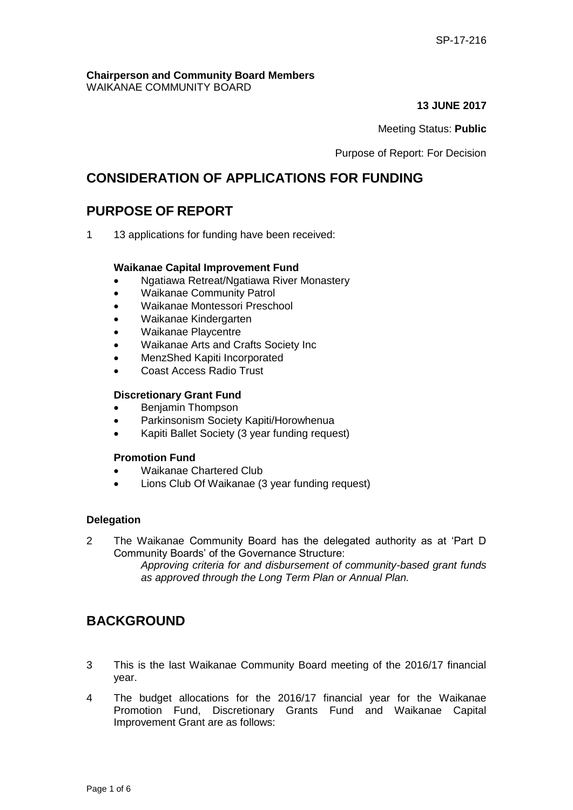#### **Chairperson and Community Board Members** WAIKANAE COMMUNITY BOARD

# **13 JUNE 2017**

# Meeting Status: **Public**

Purpose of Report: For Decision

# **CONSIDERATION OF APPLICATIONS FOR FUNDING**

# **PURPOSE OF REPORT**

1 13 applications for funding have been received:

# **Waikanae Capital Improvement Fund**

- Ngatiawa Retreat/Ngatiawa River Monastery
- Waikanae Community Patrol
- Waikanae Montessori Preschool
- Waikanae Kindergarten
- Waikanae Playcentre
- Waikanae Arts and Crafts Society Inc
- MenzShed Kapiti Incorporated
- Coast Access Radio Trust

# **Discretionary Grant Fund**

- Benjamin Thompson
- Parkinsonism Society Kapiti/Horowhenua
- Kapiti Ballet Society (3 year funding request)

# **Promotion Fund**

- Waikanae Chartered Club
- Lions Club Of Waikanae (3 year funding request)

# **Delegation**

2 The Waikanae Community Board has the delegated authority as at 'Part D Community Boards' of the Governance Structure:

*Approving criteria for and disbursement of community-based grant funds as approved through the Long Term Plan or Annual Plan.* 

# **BACKGROUND**

- 3 This is the last Waikanae Community Board meeting of the 2016/17 financial year.
- 4 The budget allocations for the 2016/17 financial year for the Waikanae Promotion Fund, Discretionary Grants Fund and Waikanae Capital Improvement Grant are as follows: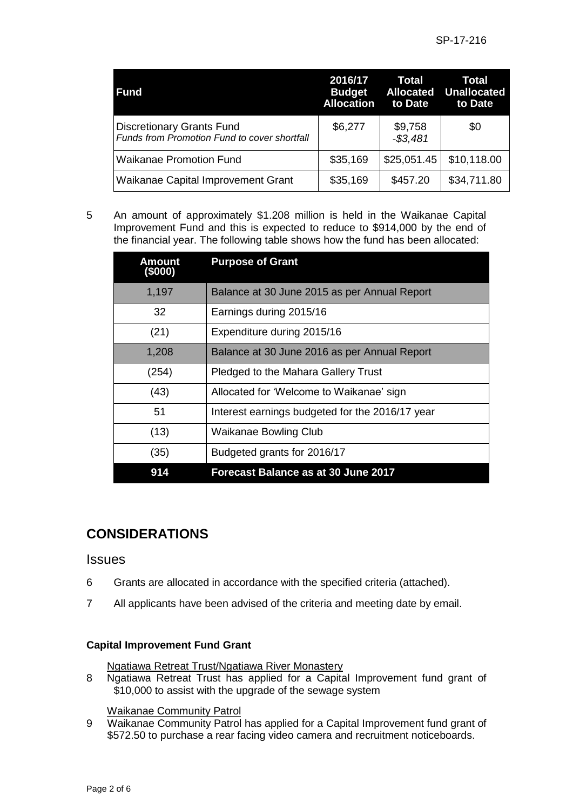| <b>Fund</b>                                                                      | 2016/17<br><b>Budget</b><br><b>Allocation</b> | Total<br><b>Allocated</b><br>to Date | Total<br><b>Unallocated</b><br>to Date |
|----------------------------------------------------------------------------------|-----------------------------------------------|--------------------------------------|----------------------------------------|
| <b>Discretionary Grants Fund</b><br>Funds from Promotion Fund to cover shortfall | \$6,277                                       | \$9,758<br>$- $3,481$                | \$0                                    |
| Waikanae Promotion Fund                                                          | \$35,169                                      | \$25,051.45                          | \$10,118.00                            |
| <b>Waikanae Capital Improvement Grant</b>                                        | \$35,169                                      | \$457.20                             | \$34,711.80                            |

5 An amount of approximately \$1.208 million is held in the Waikanae Capital Improvement Fund and this is expected to reduce to \$914,000 by the end of the financial year. The following table shows how the fund has been allocated:

| Amount<br>(\$000) | <b>Purpose of Grant</b>                         |
|-------------------|-------------------------------------------------|
| 1,197             | Balance at 30 June 2015 as per Annual Report    |
| 32                | Earnings during 2015/16                         |
| (21)              | Expenditure during 2015/16                      |
| 1,208             | Balance at 30 June 2016 as per Annual Report    |
| (254)             | Pledged to the Mahara Gallery Trust             |
| (43)              | Allocated for 'Welcome to Waikanae' sign        |
| 51                | Interest earnings budgeted for the 2016/17 year |
| (13)              | Waikanae Bowling Club                           |
| (35)              | Budgeted grants for 2016/17                     |
| 914               | Forecast Balance as at 30 June 2017             |

# **CONSIDERATIONS**

# **Issues**

- 6 Grants are allocated in accordance with the specified criteria (attached).
- 7 All applicants have been advised of the criteria and meeting date by email.

# **Capital Improvement Fund Grant**

- Ngatiawa Retreat Trust/Ngatiawa River Monastery
- 8 Ngatiawa Retreat Trust has applied for a Capital Improvement fund grant of \$10,000 to assist with the upgrade of the sewage system

# Waikanae Community Patrol

9 Waikanae Community Patrol has applied for a Capital Improvement fund grant of \$572.50 to purchase a rear facing video camera and recruitment noticeboards.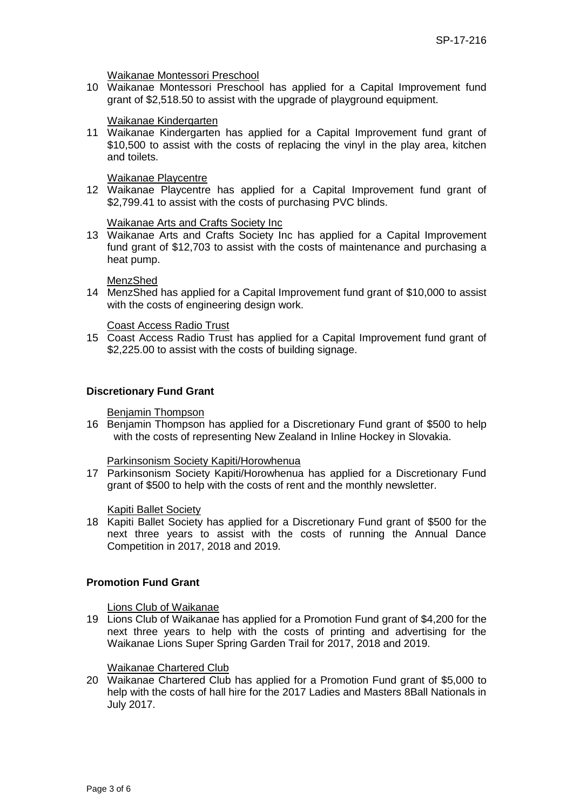Waikanae Montessori Preschool

10 Waikanae Montessori Preschool has applied for a Capital Improvement fund grant of \$2,518.50 to assist with the upgrade of playground equipment.

### Waikanae Kindergarten

11 Waikanae Kindergarten has applied for a Capital Improvement fund grant of \$10,500 to assist with the costs of replacing the vinyl in the play area, kitchen and toilets.

#### Waikanae Playcentre

12 Waikanae Playcentre has applied for a Capital Improvement fund grant of \$2,799.41 to assist with the costs of purchasing PVC blinds.

### Waikanae Arts and Crafts Society Inc

13 Waikanae Arts and Crafts Society Inc has applied for a Capital Improvement fund grant of \$12,703 to assist with the costs of maintenance and purchasing a heat pump.

MenzShed

14 MenzShed has applied for a Capital Improvement fund grant of \$10,000 to assist with the costs of engineering design work.

Coast Access Radio Trust

15 Coast Access Radio Trust has applied for a Capital Improvement fund grant of \$2,225.00 to assist with the costs of building signage.

### **Discretionary Fund Grant**

Benjamin Thompson

16 Benjamin Thompson has applied for a Discretionary Fund grant of \$500 to help with the costs of representing New Zealand in Inline Hockey in Slovakia.

### Parkinsonism Society Kapiti/Horowhenua

17 Parkinsonism Society Kapiti/Horowhenua has applied for a Discretionary Fund grant of \$500 to help with the costs of rent and the monthly newsletter.

#### Kapiti Ballet Society

18 Kapiti Ballet Society has applied for a Discretionary Fund grant of \$500 for the next three years to assist with the costs of running the Annual Dance Competition in 2017, 2018 and 2019.

### **Promotion Fund Grant**

Lions Club of Waikanae

19 Lions Club of Waikanae has applied for a Promotion Fund grant of \$4,200 for the next three years to help with the costs of printing and advertising for the Waikanae Lions Super Spring Garden Trail for 2017, 2018 and 2019.

### Waikanae Chartered Club

20 Waikanae Chartered Club has applied for a Promotion Fund grant of \$5,000 to help with the costs of hall hire for the 2017 Ladies and Masters 8Ball Nationals in July 2017.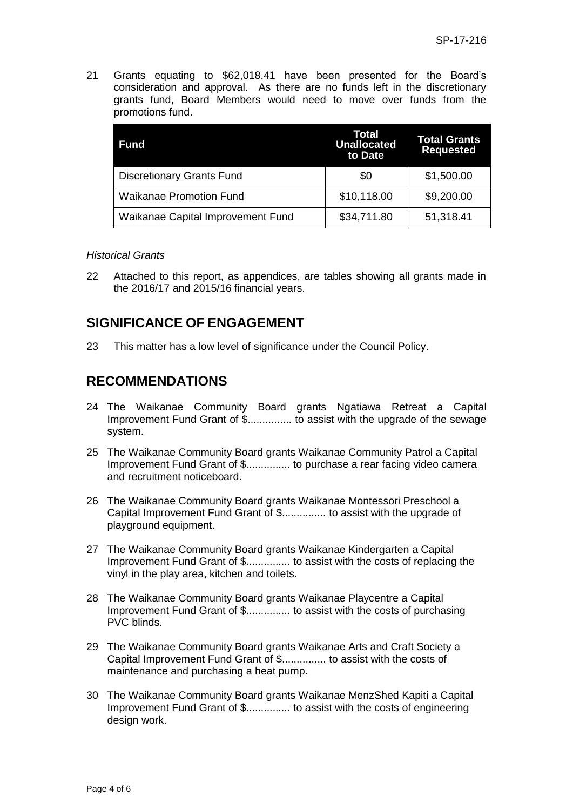21 Grants equating to \$62,018.41 have been presented for the Board's consideration and approval. As there are no funds left in the discretionary grants fund, Board Members would need to move over funds from the promotions fund.

| <b>Fund</b>                       | Total<br><b>Unallocated</b><br>to Date | <b>Total Grants</b><br><b>Requested</b> |
|-----------------------------------|----------------------------------------|-----------------------------------------|
| <b>Discretionary Grants Fund</b>  | \$0                                    | \$1,500.00                              |
| <b>Waikanae Promotion Fund</b>    | \$10,118.00                            | \$9,200.00                              |
| Waikanae Capital Improvement Fund | \$34,711.80                            | 51,318.41                               |

## *Historical Grants*

22 Attached to this report, as appendices, are tables showing all grants made in the 2016/17 and 2015/16 financial years.

# **SIGNIFICANCE OF ENGAGEMENT**

23 This matter has a low level of significance under the Council Policy.

# **RECOMMENDATIONS**

- 24 The Waikanae Community Board grants Ngatiawa Retreat a Capital Improvement Fund Grant of \$............... to assist with the upgrade of the sewage system.
- 25 The Waikanae Community Board grants Waikanae Community Patrol a Capital Improvement Fund Grant of \$............... to purchase a rear facing video camera and recruitment noticeboard.
- 26 The Waikanae Community Board grants Waikanae Montessori Preschool a Capital Improvement Fund Grant of \$............... to assist with the upgrade of playground equipment.
- 27 The Waikanae Community Board grants Waikanae Kindergarten a Capital Improvement Fund Grant of \$............... to assist with the costs of replacing the vinyl in the play area, kitchen and toilets.
- 28 The Waikanae Community Board grants Waikanae Playcentre a Capital Improvement Fund Grant of \$............... to assist with the costs of purchasing PVC blinds.
- 29 The Waikanae Community Board grants Waikanae Arts and Craft Society a Capital Improvement Fund Grant of \$............... to assist with the costs of maintenance and purchasing a heat pump.
- 30 The Waikanae Community Board grants Waikanae MenzShed Kapiti a Capital Improvement Fund Grant of \$............... to assist with the costs of engineering design work.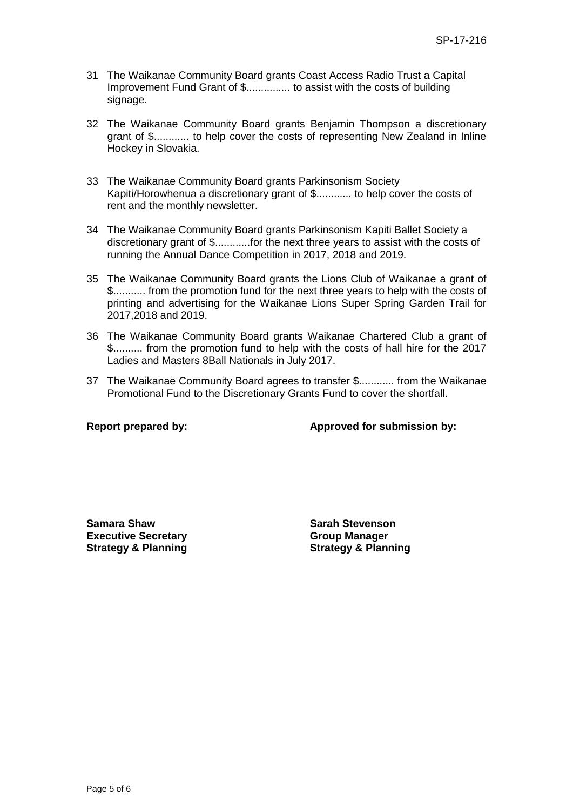- 31 The Waikanae Community Board grants Coast Access Radio Trust a Capital Improvement Fund Grant of \$............... to assist with the costs of building signage.
- 32 The Waikanae Community Board grants Benjamin Thompson a discretionary grant of \$............ to help cover the costs of representing New Zealand in Inline Hockey in Slovakia.
- 33 The Waikanae Community Board grants Parkinsonism Society Kapiti/Horowhenua a discretionary grant of \$............ to help cover the costs of rent and the monthly newsletter.
- 34 The Waikanae Community Board grants Parkinsonism Kapiti Ballet Society a discretionary grant of \$............for the next three years to assist with the costs of running the Annual Dance Competition in 2017, 2018 and 2019.
- 35 The Waikanae Community Board grants the Lions Club of Waikanae a grant of \$........... from the promotion fund for the next three years to help with the costs of printing and advertising for the Waikanae Lions Super Spring Garden Trail for 2017,2018 and 2019.
- 36 The Waikanae Community Board grants Waikanae Chartered Club a grant of \$.......... from the promotion fund to help with the costs of hall hire for the 2017 Ladies and Masters 8Ball Nationals in July 2017.
- 37 The Waikanae Community Board agrees to transfer \$............ from the Waikanae Promotional Fund to the Discretionary Grants Fund to cover the shortfall.

**Report prepared by: Approved for submission by:**

**Samara Shaw Sarah Stevenson Executive Secretary Strategy & Planning**

**Group Manager Strategy & Planning**